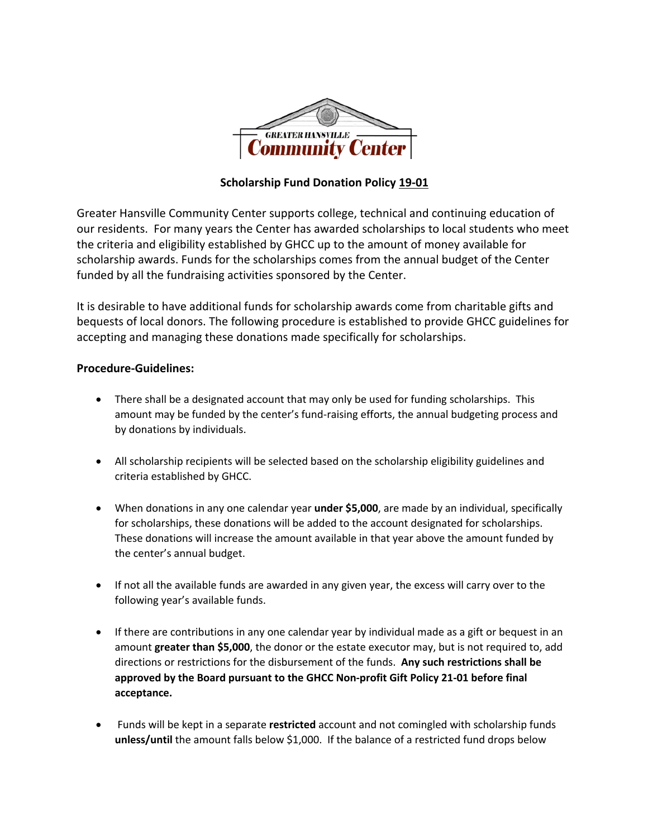

## **Scholarship Fund Donation Policy 19-01**

Greater Hansville Community Center supports college, technical and continuing education of our residents. For many years the Center has awarded scholarships to local students who meet the criteria and eligibility established by GHCC up to the amount of money available for scholarship awards. Funds for the scholarships comes from the annual budget of the Center funded by all the fundraising activities sponsored by the Center.

It is desirable to have additional funds for scholarship awards come from charitable gifts and bequests of local donors. The following procedure is established to provide GHCC guidelines for accepting and managing these donations made specifically for scholarships.

## **Procedure-Guidelines:**

- There shall be a designated account that may only be used for funding scholarships. This amount may be funded by the center's fund-raising efforts, the annual budgeting process and by donations by individuals.
- All scholarship recipients will be selected based on the scholarship eligibility guidelines and criteria established by GHCC.
- When donations in any one calendar year **under \$5,000**, are made by an individual, specifically for scholarships, these donations will be added to the account designated for scholarships. These donations will increase the amount available in that year above the amount funded by the center's annual budget.
- If not all the available funds are awarded in any given year, the excess will carry over to the following year's available funds.
- If there are contributions in any one calendar year by individual made as a gift or bequest in an amount **greater than \$5,000**, the donor or the estate executor may, but is not required to, add directions or restrictions for the disbursement of the funds. **Any such restrictions shall be approved by the Board pursuant to the GHCC Non-profit Gift Policy 21-01 before final acceptance.**
- Funds will be kept in a separate **restricted** account and not comingled with scholarship funds **unless/until** the amount falls below \$1,000. If the balance of a restricted fund drops below